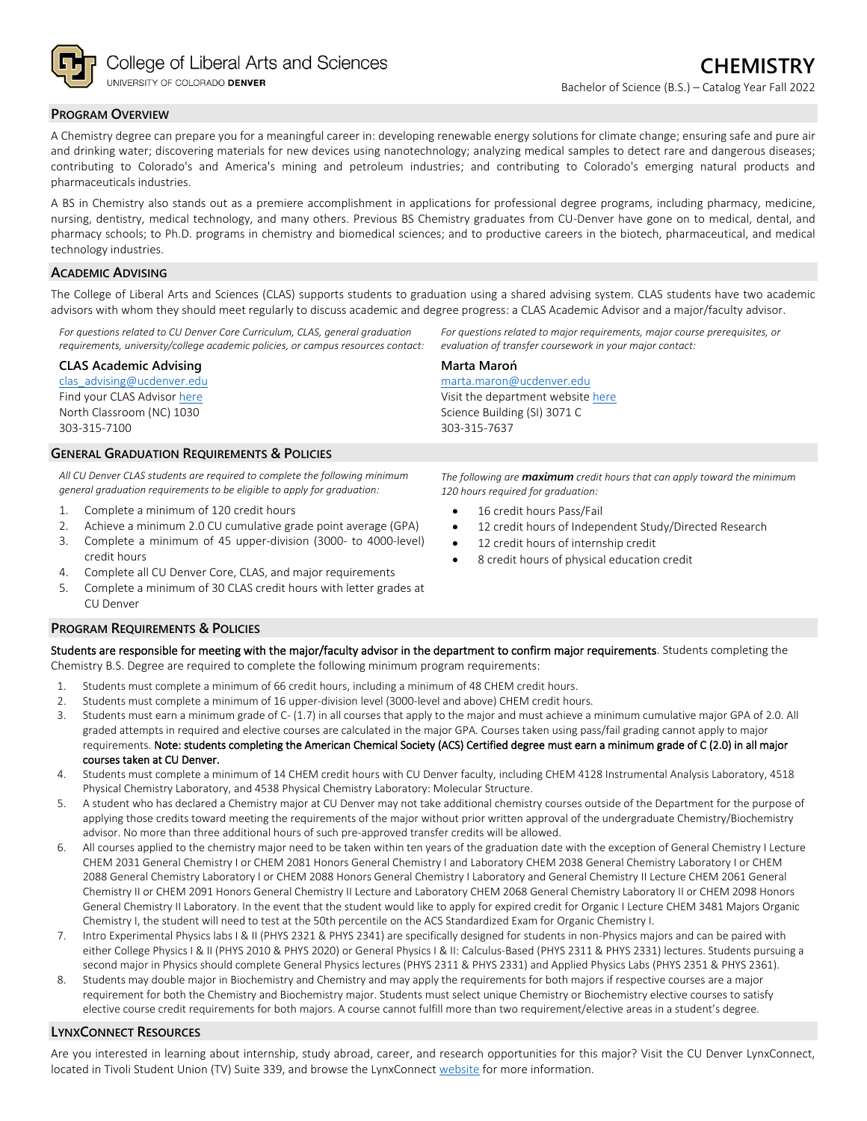

#### **PROGRAM OVERVIEW**

A Chemistry degree can prepare you for a meaningful career in: developing renewable energy solutions for climate change; ensuring safe and pure air and drinking water; discovering materials for new devices using nanotechnology; analyzing medical samples to detect rare and dangerous diseases; contributing to Colorado's and America's mining and petroleum industries; and contributing to Colorado's emerging natural products and pharmaceuticals industries.

A BS in Chemistry also stands out as a premiere accomplishment in applications for professional degree programs, including pharmacy, medicine, nursing, dentistry, medical technology, and many others. Previous BS Chemistry graduates from CU-Denver have gone on to medical, dental, and pharmacy schools; to Ph.D. programs in chemistry and biomedical sciences; and to productive careers in the biotech, pharmaceutical, and medical technology industries.

#### **ACADEMIC ADVISING**

The College of Liberal Arts and Sciences (CLAS) supports students to graduation using a shared advising system. CLAS students have two academic advisors with whom they should meet regularly to discuss academic and degree progress: a CLAS Academic Advisor and a major/faculty advisor.

*For questions related to CU Denver Core Curriculum, CLAS, general graduation requirements, university/college academic policies, or campus resources contact:*

#### **CLAS Academic Advising**

[clas\\_advising@ucdenver.edu](mailto:clas_advising@ucdenver.edu) Find your CLAS Adviso[r here](https://clas.ucdenver.edu/advising/) North Classroom (NC) 1030 303-315-7100

#### **GENERAL GRADUATION REQUIREMENTS & POLICIES**

*All CU Denver CLAS students are required to complete the following minimum general graduation requirements to be eligible to apply for graduation:*

- 1. Complete a minimum of 120 credit hours
- 2. Achieve a minimum 2.0 CU cumulative grade point average (GPA)
- 3. Complete a minimum of 45 upper-division (3000- to 4000-level) credit hours
- 4. Complete all CU Denver Core, CLAS, and major requirements
- 5. Complete a minimum of 30 CLAS credit hours with letter grades at CU Denver

#### **PROGRAM REQUIREMENTS & POLICIES**

Students are responsible for meeting with the major/faculty advisor in the department to confirm major requirements. Students completing the Chemistry B.S. Degree are required to complete the following minimum program requirements:

- 1. Students must complete a minimum of 66 credit hours, including a minimum of 48 CHEM credit hours.
- 2. Students must complete a minimum of 16 upper-division level (3000-level and above) CHEM credit hours.
- 3. Students must earn a minimum grade of C- (1.7) in all courses that apply to the major and must achieve a minimum cumulative major GPA of 2.0. All graded attempts in required and elective courses are calculated in the major GPA. Courses taken using pass/fail grading cannot apply to major requirements. Note: students completing the American Chemical Society (ACS) Certified degree must earn a minimum grade of C (2.0) in all major courses taken at CU Denver.
- 4. Students must complete a minimum of 14 CHEM credit hours with CU Denver faculty, including CHEM 4128 Instrumental Analysis Laboratory, 4518 Physical Chemistry Laboratory, and 4538 Physical Chemistry Laboratory: Molecular Structure.
- 5. A student who has declared a Chemistry major at CU Denver may not take additional chemistry courses outside of the Department for the purpose of applying those credits toward meeting the requirements of the major without prior written approval of the undergraduate Chemistry/Biochemistry advisor. No more than three additional hours of such pre-approved transfer credits will be allowed.
- 6. All courses applied to the chemistry major need to be taken within ten years of the graduation date with the exception of General Chemistry I Lecture CHEM 2031 General Chemistry I or CHEM 2081 Honors General Chemistry I and Laboratory CHEM 2038 General Chemistry Laboratory I or CHEM 2088 General Chemistry Laboratory I or CHEM 2088 Honors General Chemistry I Laboratory and General Chemistry II Lecture CHEM 2061 General Chemistry II or CHEM 2091 Honors General Chemistry II Lecture and Laboratory CHEM 2068 General Chemistry Laboratory II or CHEM 2098 Honors General Chemistry II Laboratory. In the event that the student would like to apply for expired credit for Organic I Lecture CHEM 3481 Majors Organic Chemistry I, the student will need to test at the 50th percentile on the ACS Standardized Exam for Organic Chemistry I.
- 7. Intro Experimental Physics labs I & II (PHYS 2321 & PHYS 2341) are specifically designed for students in non-Physics majors and can be paired with either College Physics I & II (PHYS 2010 & PHYS 2020) or General Physics I & II: Calculus-Based (PHYS 2311 & PHYS 2331) lectures. Students pursuing a second major in Physics should complete General Physics lectures (PHYS 2311 & PHYS 2331) and Applied Physics Labs (PHYS 2351 & PHYS 2361).
- 8. Students may double major in Biochemistry and Chemistry and may apply the requirements for both majors if respective courses are a major requirement for both the Chemistry and Biochemistry major. Students must select unique Chemistry or Biochemistry elective courses to satisfy elective course credit requirements for both majors. A course cannot fulfill more than two requirement/elective areas in a student's degree.

#### **LYNXCONNECT RESOURCES**

Are you interested in learning about internship, study abroad, career, and research opportunities for this major? Visit the CU Denver LynxConnect, located in Tivoli Student Union (TV) Suite 339, and browse the LynxConnect [website](http://www.ucdenver.edu/lynxconnect/Pages/default.aspx) for more information.

*For questions related to major requirements, major course prerequisites, or evaluation of transfer coursework in your major contact:*

## **Marta Maroń**

[marta.maron@ucdenver.edu](mailto:marta.maron@ucdenver.edu) Visit the department websit[e here](https://clas.ucdenver.edu/chemistry/) Science Building (SI) 3071 C 303-315-7637

*The following are maximum credit hours that can apply toward the minimum 120 hours required for graduation:*

- 16 credit hours Pass/Fail
- 12 credit hours of Independent Study/Directed Research
- 12 credit hours of internship credit
- 8 credit hours of physical education credit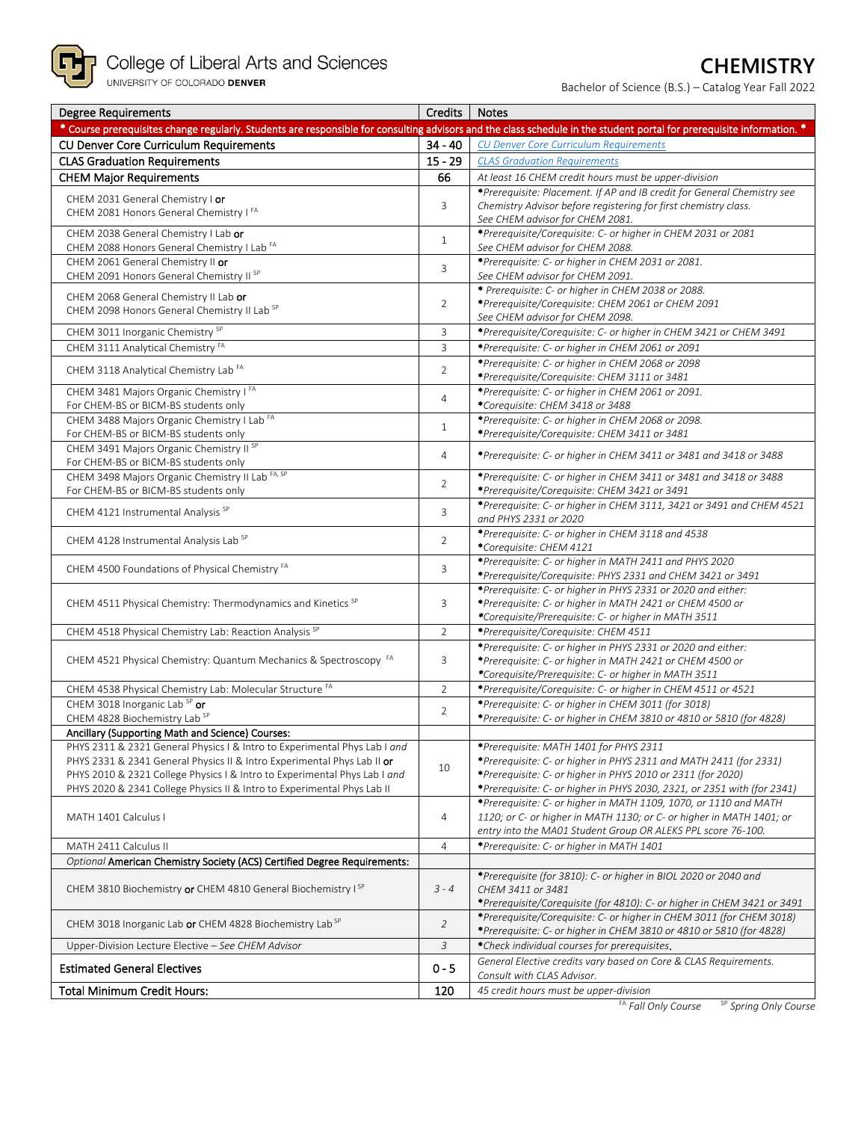

# **CHEMISTRY**

Bachelor of Science (B.S.) – Catalog Year Fall 2022

| <b>Degree Requirements</b>                                                                                                                                             | Credits        | <b>Notes</b>                                                                                                |
|------------------------------------------------------------------------------------------------------------------------------------------------------------------------|----------------|-------------------------------------------------------------------------------------------------------------|
| * Course prerequisites change regularly. Students are responsible for consulting advisors and the class schedule in the student portal for prerequisite information. * |                |                                                                                                             |
| CU Denver Core Curriculum Requirements                                                                                                                                 | $34 - 40$      | CU Denver Core Curriculum Requirements                                                                      |
| <b>CLAS Graduation Requirements</b>                                                                                                                                    | $15 - 29$      | <b>CLAS Graduation Requirements</b>                                                                         |
| <b>CHEM Major Requirements</b>                                                                                                                                         | 66             | At least 16 CHEM credit hours must be upper-division                                                        |
|                                                                                                                                                                        |                | *Prerequisite: Placement. If AP and IB credit for General Chemistry see                                     |
| CHEM 2031 General Chemistry I or<br>CHEM 2081 Honors General Chemistry IFA                                                                                             | 3              | Chemistry Advisor before registering for first chemistry class.                                             |
|                                                                                                                                                                        |                | See CHEM advisor for CHEM 2081.                                                                             |
| CHEM 2038 General Chemistry I Lab or                                                                                                                                   | $\mathbf{1}$   | *Prerequisite/Corequisite: C- or higher in CHEM 2031 or 2081                                                |
| CHEM 2088 Honors General Chemistry I Lab <sup>FA</sup>                                                                                                                 |                | See CHEM advisor for CHEM 2088.                                                                             |
| CHEM 2061 General Chemistry II or                                                                                                                                      | 3              | *Prerequisite: C- or higher in CHEM 2031 or 2081.                                                           |
| CHEM 2091 Honors General Chemistry II <sup>SP</sup>                                                                                                                    |                | See CHEM advisor for CHEM 2091.                                                                             |
| CHEM 2068 General Chemistry II Lab or                                                                                                                                  |                | * Prerequisite: C- or higher in CHEM 2038 or 2088.                                                          |
| CHEM 2098 Honors General Chemistry II Lab SP                                                                                                                           | 2              | *Prerequisite/Corequisite: CHEM 2061 or CHEM 2091                                                           |
|                                                                                                                                                                        |                | See CHEM advisor for CHEM 2098.                                                                             |
| CHEM 3011 Inorganic Chemistry <sup>SP</sup>                                                                                                                            | 3              | *Prerequisite/Corequisite: C- or higher in CHEM 3421 or CHEM 3491                                           |
| CHEM 3111 Analytical Chemistry <sup>FA</sup>                                                                                                                           | $\overline{3}$ | *Prerequisite: C- or higher in CHEM 2061 or 2091                                                            |
| CHEM 3118 Analytical Chemistry Lab <sup>FA</sup>                                                                                                                       | $\overline{2}$ | *Prerequisite: C- or higher in CHEM 2068 or 2098                                                            |
|                                                                                                                                                                        |                | *Prerequisite/Corequisite: CHEM 3111 or 3481                                                                |
| CHEM 3481 Majors Organic Chemistry IFA                                                                                                                                 | $\overline{4}$ | *Prerequisite: C- or higher in CHEM 2061 or 2091.                                                           |
| For CHEM-BS or BICM-BS students only                                                                                                                                   |                | *Corequisite: CHEM 3418 or 3488                                                                             |
| CHEM 3488 Majors Organic Chemistry I Lab FA<br>For CHEM-BS or BICM-BS students only                                                                                    | $\mathbf{1}$   | *Prerequisite: C- or higher in CHEM 2068 or 2098.<br>*Prerequisite/Corequisite: CHEM 3411 or 3481           |
| CHEM 3491 Majors Organic Chemistry II <sup>SP</sup>                                                                                                                    |                |                                                                                                             |
| For CHEM-BS or BICM-BS students only                                                                                                                                   | $\overline{4}$ | *Prerequisite: C- or higher in CHEM 3411 or 3481 and 3418 or 3488                                           |
| CHEM 3498 Majors Organic Chemistry II Lab FA, SP                                                                                                                       |                | *Prerequisite: C- or higher in CHEM 3411 or 3481 and 3418 or 3488                                           |
| For CHEM-BS or BICM-BS students only                                                                                                                                   | $\overline{2}$ | *Prerequisite/Corequisite: CHEM 3421 or 3491                                                                |
|                                                                                                                                                                        |                | *Prerequisite: C- or higher in CHEM 3111, 3421 or 3491 and CHEM 4521                                        |
| CHEM 4121 Instrumental Analysis <sup>SP</sup>                                                                                                                          | 3              | and PHYS 2331 or 2020                                                                                       |
|                                                                                                                                                                        |                | *Prerequisite: C- or higher in CHEM 3118 and 4538                                                           |
| CHEM 4128 Instrumental Analysis Lab SP                                                                                                                                 | 2              | *Corequisite: CHEM 4121                                                                                     |
|                                                                                                                                                                        |                | *Prerequisite: C- or higher in MATH 2411 and PHYS 2020                                                      |
| CHEM 4500 Foundations of Physical Chemistry FA                                                                                                                         | 3              | *Prerequisite/Corequisite: PHYS 2331 and CHEM 3421 or 3491                                                  |
|                                                                                                                                                                        |                | *Prerequisite: C- or higher in PHYS 2331 or 2020 and either:                                                |
| CHEM 4511 Physical Chemistry: Thermodynamics and Kinetics SP                                                                                                           | 3              | *Prerequisite: C- or higher in MATH 2421 or CHEM 4500 or                                                    |
|                                                                                                                                                                        |                | *Corequisite/Prerequisite: C- or higher in MATH 3511                                                        |
| CHEM 4518 Physical Chemistry Lab: Reaction Analysis SP                                                                                                                 | $\overline{2}$ | *Prerequisite/Corequisite: CHEM 4511                                                                        |
|                                                                                                                                                                        |                | *Prerequisite: C- or higher in PHYS 2331 or 2020 and either:                                                |
| CHEM 4521 Physical Chemistry: Quantum Mechanics & Spectroscopy FA                                                                                                      | 3              | *Prerequisite: C- or higher in MATH 2421 or CHEM 4500 or                                                    |
|                                                                                                                                                                        |                | *Corequisite/Prerequisite: C- or higher in MATH 3511                                                        |
| CHEM 4538 Physical Chemistry Lab: Molecular Structure FA                                                                                                               | $\overline{2}$ | *Prerequisite/Corequisite: C- or higher in CHEM 4511 or 4521                                                |
| CHEM 3018 Inorganic Lab SP or                                                                                                                                          | $\overline{2}$ | *Prerequisite: C- or higher in CHEM 3011 (for 3018)                                                         |
| CHEM 4828 Biochemistry Lab SP                                                                                                                                          |                | *Prerequisite: C- or higher in CHEM 3810 or 4810 or 5810 (for 4828)                                         |
| Ancillary (Supporting Math and Science) Courses:                                                                                                                       |                |                                                                                                             |
| PHYS 2311 & 2321 General Physics I & Intro to Experimental Phys Lab I and<br>PHYS 2331 & 2341 General Physics II & Intro Experimental Phys Lab II or                   |                | *Prerequisite: MATH 1401 for PHYS 2311<br>*Prerequisite: C- or higher in PHYS 2311 and MATH 2411 (for 2331) |
| PHYS 2010 & 2321 College Physics I & Intro to Experimental Phys Lab I and                                                                                              | 10             | *Prerequisite: C- or higher in PHYS 2010 or 2311 (for 2020)                                                 |
| PHYS 2020 & 2341 College Physics II & Intro to Experimental Phys Lab II                                                                                                |                | *Prerequisite: C- or higher in PHYS 2030, 2321, or 2351 with (for 2341)                                     |
|                                                                                                                                                                        |                | *Prerequisite: C- or higher in MATH 1109, 1070, or 1110 and MATH                                            |
| MATH 1401 Calculus I                                                                                                                                                   | $\overline{4}$ | 1120; or C- or higher in MATH 1130; or C- or higher in MATH 1401; or                                        |
|                                                                                                                                                                        |                | entry into the MA01 Student Group OR ALEKS PPL score 76-100.                                                |
| MATH 2411 Calculus II                                                                                                                                                  | $\overline{4}$ | *Prerequisite: C- or higher in MATH 1401                                                                    |
| Optional American Chemistry Society (ACS) Certified Degree Requirements:                                                                                               |                |                                                                                                             |
|                                                                                                                                                                        |                | *Prerequisite (for 3810): C- or higher in BIOL 2020 or 2040 and                                             |
| CHEM 3810 Biochemistry or CHEM 4810 General Biochemistry I <sup>SP</sup>                                                                                               | $3 - 4$        | CHEM 3411 or 3481                                                                                           |
|                                                                                                                                                                        |                | *Prerequisite/Corequisite (for 4810): C- or higher in CHEM 3421 or 3491                                     |
| CHEM 3018 Inorganic Lab or CHEM 4828 Biochemistry Lab <sup>SP</sup>                                                                                                    | $\overline{2}$ | *Prerequisite/Corequisite: C- or higher in CHEM 3011 (for CHEM 3018)                                        |
|                                                                                                                                                                        |                | *Prerequisite: C- or higher in CHEM 3810 or 4810 or 5810 (for 4828)                                         |
| Upper-Division Lecture Elective - See CHEM Advisor                                                                                                                     | 3              | *Check individual courses for prerequisites.                                                                |
| <b>Estimated General Electives</b>                                                                                                                                     | $0 - 5$        | General Elective credits vary based on Core & CLAS Requirements.                                            |
|                                                                                                                                                                        |                | Consult with CLAS Advisor.                                                                                  |
| <b>Total Minimum Credit Hours:</b>                                                                                                                                     | 120            | 45 credit hours must be upper-division                                                                      |
|                                                                                                                                                                        |                | FA Fall Only Course<br><sup>SP</sup> Spring Only Course                                                     |